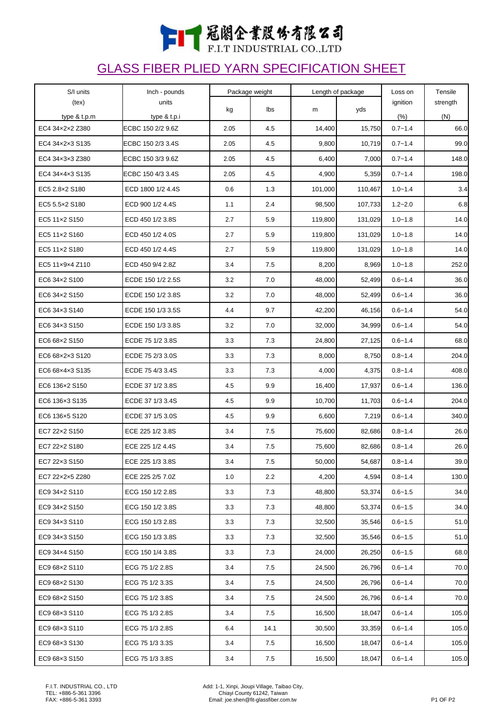

## GLASS FIBER PLIED YARN SPECIFICATION SHEET

| S/I units       | Inch - pounds     | Package weight |      | Length of package |         | Loss on     | Tensile  |
|-----------------|-------------------|----------------|------|-------------------|---------|-------------|----------|
| (text)          | units             | kg             | lbs  | m                 | yds     | ignition    | strength |
| type & t.p.m    | type & t.p.i      |                |      |                   |         | (% )        | (N)      |
| EC4 34x2x2 Z380 | ECBC 150 2/2 9.6Z | 2.05           | 4.5  | 14,400            | 15,750  | $0.7 - 1.4$ | 66.0     |
| EC4 34x2x3 S135 | ECBC 150 2/3 3.4S | 2.05           | 4.5  | 9,800             | 10,719  | $0.7 - 1.4$ | 99.0     |
| EC4 34x3x3 Z380 | ECBC 150 3/3 9.6Z | 2.05           | 4.5  | 6,400             | 7,000   | $0.7 - 1.4$ | 148.0    |
| EC4 34x4x3 S135 | ECBC 150 4/3 3.4S | 2.05           | 4.5  | 4,900             | 5,359   | $0.7 - 1.4$ | 198.0    |
| EC5 2.8x2 S180  | ECD 1800 1/2 4.4S | 0.6            | 1.3  | 101,000           | 110,467 | $1.0 - 1.4$ | 3.4      |
| EC5 5.5×2 S180  | ECD 900 1/2 4.4S  | 1.1            | 2.4  | 98,500            | 107,733 | $1.2 - 2.0$ | 6.8      |
| EC5 11x2 S150   | ECD 450 1/2 3.8S  | 2.7            | 5.9  | 119,800           | 131,029 | $1.0 - 1.8$ | 14.0     |
| EC5 11x2 S160   | ECD 450 1/2 4.0S  | 2.7            | 5.9  | 119,800           | 131,029 | $1.0 - 1.8$ | 14.0     |
| EC5 11x2 S180   | ECD 450 1/2 4.4S  | 2.7            | 5.9  | 119,800           | 131,029 | $1.0 - 1.8$ | 14.0     |
| EC5 11x9x4 Z110 | ECD 450 9/4 2.8Z  | 3.4            | 7.5  | 8,200             | 8,969   | $1.0 - 1.8$ | 252.0    |
| EC6 34x2 S100   | ECDE 150 1/2 2.5S | 3.2            | 7.0  | 48,000            | 52,499  | $0.6 - 1.4$ | 36.0     |
| EC6 34x2 S150   | ECDE 150 1/2 3.8S | 3.2            | 7.0  | 48,000            | 52,499  | $0.6 - 1.4$ | 36.0     |
| EC6 34x3 S140   | ECDE 150 1/3 3.5S | 4.4            | 9.7  | 42,200            | 46,156  | $0.6 - 1.4$ | 54.0     |
| EC6 34×3 S150   | ECDE 150 1/3 3.8S | 3.2            | 7.0  | 32,000            | 34,999  | $0.6 - 1.4$ | 54.0     |
| EC6 68x2 S150   | ECDE 75 1/2 3.8S  | 3.3            | 7.3  | 24,800            | 27,125  | $0.6 - 1.4$ | 68.0     |
| EC6 68x2x3 S120 | ECDE 75 2/3 3.0S  | 3.3            | 7.3  | 8,000             | 8,750   | $0.8 - 1.4$ | 204.0    |
| EC6 68x4x3 S135 | ECDE 75 4/3 3.4S  | 3.3            | 7.3  | 4,000             | 4,375   | $0.8 - 1.4$ | 408.0    |
| EC6 136×2 S150  | ECDE 37 1/2 3.8S  | 4.5            | 9.9  | 16,400            | 17,937  | $0.6 - 1.4$ | 136.0    |
| EC6 136×3 S135  | ECDE 37 1/3 3.4S  | 4.5            | 9.9  | 10,700            | 11,703  | $0.6 - 1.4$ | 204.0    |
| EC6 136×5 S120  | ECDE 37 1/5 3.0S  | 4.5            | 9.9  | 6,600             | 7,219   | $0.6 - 1.4$ | 340.0    |
| EC7 22x2 S150   | ECE 225 1/2 3.8S  | 3.4            | 7.5  | 75,600            | 82,686  | $0.8 - 1.4$ | 26.0     |
| EC7 22x2 S180   | ECE 225 1/2 4.4S  | 3.4            | 7.5  | 75,600            | 82,686  | $0.8 - 1.4$ | 26.0     |
| EC7 22×3 S150   | ECE 225 1/3 3.8S  | $3.4\,$        | 7.5  | 50,000            | 54,687  | $0.8 - 1.4$ | 39.0     |
| EC7 22x2x5 Z280 | ECE 225 2/5 7.0Z  | 1.0            | 2.2  | 4,200             | 4,594   | $0.8 - 1.4$ | 130.0    |
| EC9 34x2 S110   | ECG 150 1/2 2.8S  | 3.3            | 7.3  | 48,800            | 53,374  | $0.6 - 1.5$ | 34.0     |
| EC9 34x2 S150   | ECG 150 1/2 3.8S  | 3.3            | 7.3  | 48,800            | 53,374  | $0.6 - 1.5$ | 34.0     |
| EC9 34x3 S110   | ECG 150 1/3 2.8S  | 3.3            | 7.3  | 32,500            | 35,546  | $0.6 - 1.5$ | 51.0     |
| EC9 34x3 S150   | ECG 150 1/3 3.8S  | 3.3            | 7.3  | 32,500            | 35,546  | $0.6 - 1.5$ | 51.0     |
| EC9 34×4 S150   | ECG 150 1/4 3.8S  | 3.3            | 7.3  | 24,000            | 26,250  | $0.6 - 1.5$ | 68.0     |
| EC9 68x2 S110   | ECG 75 1/2 2.8S   | 3.4            | 7.5  | 24,500            | 26,796  | $0.6 - 1.4$ | 70.0     |
| EC9 68x2 S130   | ECG 75 1/2 3.3S   | 3.4            | 7.5  | 24,500            | 26,796  | $0.6 - 1.4$ | 70.0     |
| EC9 68x2 S150   | ECG 75 1/2 3.8S   | 3.4            | 7.5  | 24,500            | 26,796  | $0.6 - 1.4$ | 70.0     |
| EC9 68x3 S110   | ECG 75 1/3 2.8S   | 3.4            | 7.5  | 16,500            | 18,047  | $0.6 - 1.4$ | 105.0    |
| EC9 68x3 S110   | ECG 75 1/3 2.8S   | 6.4            | 14.1 | 30,500            | 33,359  | $0.6 - 1.4$ | 105.0    |
| EC9 68x3 S130   | ECG 75 1/3 3.3S   | 3.4            | 7.5  | 16,500            | 18,047  | $0.6 - 1.4$ | 105.0    |
| EC9 68x3 S150   | ECG 75 1/3 3.8S   | 3.4            | 7.5  | 16,500            | 18,047  | $0.6 - 1.4$ | 105.0    |